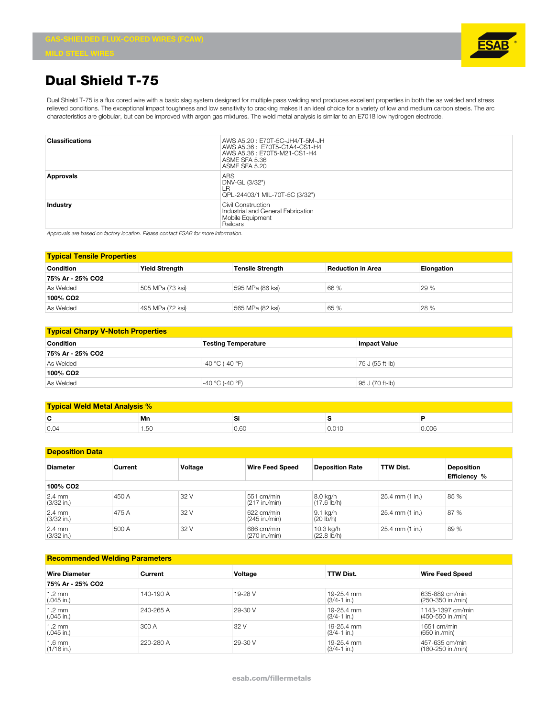

## **Dual Shield T-75**

Dual Shield T-75 is a flux cored wire with a basic slag system designed for multiple pass welding and produces excellent properties in both the as welded and stress relieved conditions. The exceptional impact toughness and low sensitivity to cracking makes it an ideal choice for a variety of low and medium carbon steels. The arc characteristics are globular, but can be improved with argon gas mixtures. The weld metal analysis is similar to an E7018 low hydrogen electrode.

| <b>Classifications</b> | AWS A5.20: E70T-5C-JH4/T-5M-JH<br>AWS A5.36: E70T5-C1A4-CS1-H4<br>AWS A5.36 : E70T5-M21-CS1-H4<br>ASME SFA 5.36<br>ASME SFA 5.20 |
|------------------------|----------------------------------------------------------------------------------------------------------------------------------|
| Approvals              | <b>ABS</b><br>DNV-GL (3/32")<br>ΙR<br>QPL-24403/1 MIL-70T-5C (3/32")                                                             |
| Industry               | Civil Construction<br>Industrial and General Fabrication<br>Mobile Equipment<br>Railcars                                         |

*Approvals are based on factory location. Please contact ESAB for more information.*

| <b>Typical Tensile Properties</b> |                       |                         |                          |            |  |
|-----------------------------------|-----------------------|-------------------------|--------------------------|------------|--|
| <b>Condition</b>                  | <b>Yield Strength</b> | <b>Tensile Strength</b> | <b>Reduction in Area</b> | Elongation |  |
| 75% Ar - 25% CO2                  |                       |                         |                          |            |  |
| As Welded                         | 505 MPa (73 ksi)      | 595 MPa (86 ksi)        | 66 %                     | 29 %       |  |
| 100% CO <sub>2</sub>              |                       |                         |                          |            |  |
| As Welded                         | 495 MPa (72 ksi)      | 565 MPa (82 ksi)        | 65 %                     | 28 %       |  |

| <b>Typical Charpy V-Notch Properties</b> |                            |                     |  |  |
|------------------------------------------|----------------------------|---------------------|--|--|
| <b>Condition</b>                         | <b>Testing Temperature</b> | <b>Impact Value</b> |  |  |
| 75% Ar - 25% CO2                         |                            |                     |  |  |
| As Welded                                | $-40 °C$ (-40 $°F$ )       | 75 J (55 ft-lb)     |  |  |
| 100% CO2                                 |                            |                     |  |  |
| As Welded                                | $-40 °C$ (-40 $°F$ )       | 95 J (70 ft-lb)     |  |  |

| <b>Typical Weld Metal Analysis %</b> |      |      |       |       |  |
|--------------------------------------|------|------|-------|-------|--|
| ◠<br>ъ.                              | Mn   | Si   |       |       |  |
| 0.04                                 | 1.50 | 0.60 | 0.010 | 0.006 |  |

| <b>Deposition Data</b>           |         |         |                             |                                      |                  |                     |
|----------------------------------|---------|---------|-----------------------------|--------------------------------------|------------------|---------------------|
| <b>Diameter</b>                  | Current | Voltage | <b>Wire Feed Speed</b>      | <b>Deposition Rate</b>               | <b>TTW Dist.</b> | <b>Deposition</b>   |
|                                  |         |         |                             |                                      |                  | <b>Efficiency %</b> |
| 100% CO <sub>2</sub>             |         |         |                             |                                      |                  |                     |
| $2.4 \text{ mm}$<br>$(3/32$ in.) | 450 A   | 32 V    | 551 cm/min<br>(217 in./min) | 8.0 kg/h<br>$(17.6 \, lb/h)$         | 25.4 mm (1 in.)  | 85 %                |
| $2.4 \text{ mm}$<br>$(3/32$ in.) | 475 A   | 32 V    | 622 cm/min<br>(245 in./min) | 9.1 kg/h<br>(20 lb/h)                | 25.4 mm (1 in.)  | 87 %                |
| $2.4 \text{ mm}$<br>$(3/32$ in.) | 500 A   | 32 V    | 686 cm/min<br>(270 in./min) | 10.3 kg/h<br>$(22.8 \, \text{lb/h})$ | 25.4 mm (1 in.)  | 89 %                |

## **Recommended Welding Parameters**

| <b>Wire Diameter</b>             | Current   | Voltage | <b>TTW Dist.</b>               | <b>Wire Feed Speed</b>                |
|----------------------------------|-----------|---------|--------------------------------|---------------------------------------|
| 75% Ar - 25% CO2                 |           |         |                                |                                       |
| 1.2 mm<br>$(.045$ in.)           | 140-190 A | 19-28 V | 19-25.4 mm<br>$(3/4 - 1)$ in.) | 635-889 cm/min<br>(250-350 in./min)   |
| $1.2 \text{ mm}$<br>$(.045$ in.) | 240-265 A | 29-30 V | 19-25.4 mm<br>$(3/4 - 1)$ in.) | 1143-1397 cm/min<br>(450-550 in./min) |
| $1.2 \text{ mm}$<br>$(.045$ in.) | 300 A     | 32 V    | 19-25.4 mm<br>$(3/4 - 1)$ in.) | $1651$ cm/min<br>(650 in./min)        |
| 1.6 mm<br>$(1/16$ in.)           | 220-280 A | 29-30 V | 19-25.4 mm<br>$(3/4-1)$ in.)   | 457-635 cm/min<br>(180-250 in./min)   |